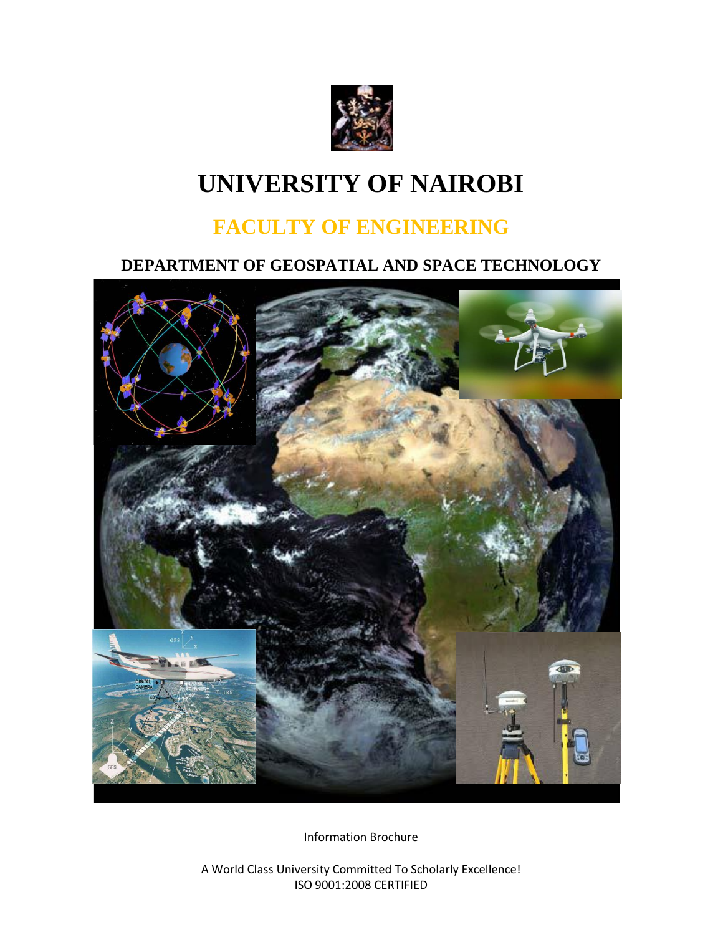

# **UNIVERSITY OF NAIROBI**

## **FACULTY OF ENGINEERING**

## **DEPARTMENT OF GEOSPATIAL AND SPACE TECHNOLOGY**



Information Brochure

A World Class University Committed To Scholarly Excellence! ISO 9001:2008 CERTIFIED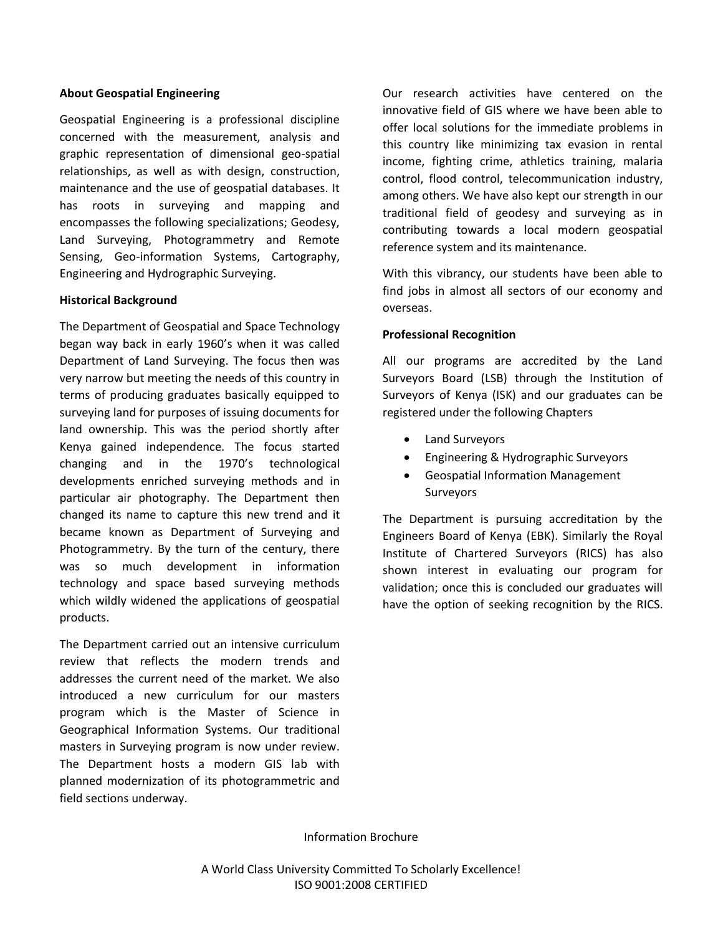#### **About Geospatial Engineering**

Geospatial Engineering is a professional discipline concerned with the measurement, analysis and graphic representation of dimensional geo-spatial relationships, as well as with design, construction, maintenance and the use of geospatial databases. It has roots in surveying and mapping and encompasses the following specializations; Geodesy, Land Surveying, Photogrammetry and Remote Sensing, Geo-information Systems, Cartography, Engineering and Hydrographic Surveying.

#### **Historical Background**

The Department of Geospatial and Space Technology began way back in early 1960's when it was called Department of Land Surveying. The focus then was very narrow but meeting the needs of this country in terms of producing graduates basically equipped to surveying land for purposes of issuing documents for land ownership. This was the period shortly after Kenya gained independence. The focus started changing and in the 1970's technological developments enriched surveying methods and in particular air photography. The Department then changed its name to capture this new trend and it became known as Department of Surveying and Photogrammetry. By the turn of the century, there was so much development in information technology and space based surveying methods which wildly widened the applications of geospatial products.

The Department carried out an intensive curriculum review that reflects the modern trends and addresses the current need of the market. We also introduced a new curriculum for our masters program which is the Master of Science in Geographical Information Systems. Our traditional masters in Surveying program is now under review. The Department hosts a modern GIS lab with planned modernization of its photogrammetric and field sections underway.

Our research activities have centered on the innovative field of GIS where we have been able to offer local solutions for the immediate problems in this country like minimizing tax evasion in rental income, fighting crime, athletics training, malaria control, flood control, telecommunication industry, among others. We have also kept our strength in our traditional field of geodesy and surveying as in contributing towards a local modern geospatial reference system and its maintenance.

With this vibrancy, our students have been able to find jobs in almost all sectors of our economy and overseas.

#### **Professional Recognition**

All our programs are accredited by the Land Surveyors Board (LSB) through the Institution of Surveyors of Kenya (ISK) and our graduates can be registered under the following Chapters

- Land Surveyors
- Engineering & Hydrographic Surveyors
- Geospatial Information Management Surveyors

The Department is pursuing accreditation by the Engineers Board of Kenya (EBK). Similarly the Royal Institute of Chartered Surveyors (RICS) has also shown interest in evaluating our program for validation; once this is concluded our graduates will have the option of seeking recognition by the RICS.

Information Brochure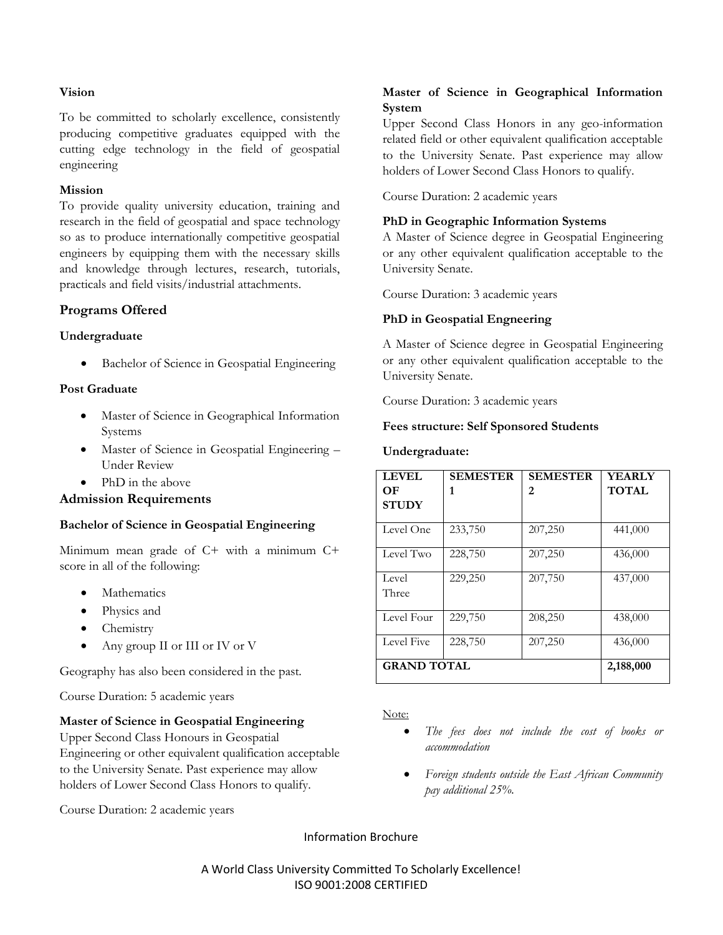#### **Vision**

To be committed to scholarly excellence, consistently producing competitive graduates equipped with the cutting edge technology in the field of geospatial engineering

#### **Mission**

To provide quality university education, training and research in the field of geospatial and space technology so as to produce internationally competitive geospatial engineers by equipping them with the necessary skills and knowledge through lectures, research, tutorials, practicals and field visits/industrial attachments.

#### **Programs Offered**

#### **Undergraduate**

Bachelor of Science in Geospatial Engineering

#### **Post Graduate**

- Master of Science in Geographical Information Systems
- Master of Science in Geospatial Engineering Under Review
- PhD in the above

#### **Admission Requirements**

#### **Bachelor of Science in Geospatial Engineering**

Minimum mean grade of C+ with a minimum C+ score in all of the following:

- Mathematics
- Physics and
- Chemistry
- Any group II or III or IV or V

Geography has also been considered in the past.

Course Duration: 5 academic years

#### **Master of Science in Geospatial Engineering**

Upper Second Class Honours in Geospatial Engineering or other equivalent qualification acceptable to the University Senate. Past experience may allow holders of Lower Second Class Honors to qualify.

Course Duration: 2 academic years

#### **Master of Science in Geographical Information System**

Upper Second Class Honors in any geo-information related field or other equivalent qualification acceptable to the University Senate. Past experience may allow holders of Lower Second Class Honors to qualify.

Course Duration: 2 academic years

#### **PhD in Geographic Information Systems**

A Master of Science degree in Geospatial Engineering or any other equivalent qualification acceptable to the University Senate.

Course Duration: 3 academic years

#### **PhD in Geospatial Engneering**

A Master of Science degree in Geospatial Engineering or any other equivalent qualification acceptable to the University Senate.

Course Duration: 3 academic years

#### **Fees structure: Self Sponsored Students**

#### **Undergraduate:**

| <b>LEVEL</b>       | <b>SEMESTER</b> | <b>SEMESTER</b> | <b>YEARLY</b> |
|--------------------|-----------------|-----------------|---------------|
| OЕ                 | 1               | 2               | <b>TOTAL</b>  |
| <b>STUDY</b>       |                 |                 |               |
| Level One          | 233,750         | 207,250         | 441,000       |
| Level Two          | 228,750         | 207,250         | 436,000       |
| Level              | 229,250         | 207,750         | 437,000       |
| Three              |                 |                 |               |
| Level Four         | 229,750         | 208,250         | 438,000       |
| Level Five         | 228,750         | 207,250         | 436,000       |
| <b>GRAND TOTAL</b> |                 |                 | 2,188,000     |

Note:

- *The fees does not include the cost of books or accommodation*
- *Foreign students outside the East African Community pay additional 25%.*

Information Brochure

A World Class University Committed To Scholarly Excellence! ISO 9001:2008 CERTIFIED